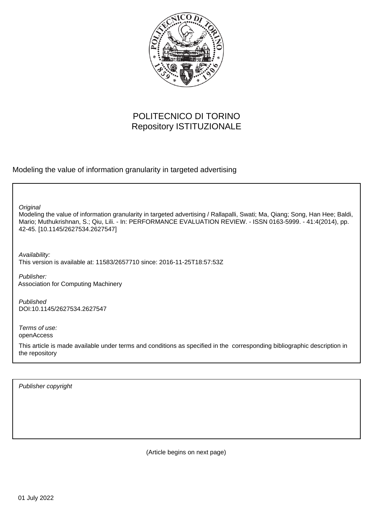

# POLITECNICO DI TORINO Repository ISTITUZIONALE

Modeling the value of information granularity in targeted advertising

**Original** 

Modeling the value of information granularity in targeted advertising / Rallapalli, Swati; Ma, Qiang; Song, Han Hee; Baldi, Mario; Muthukrishnan, S.; Qiu, Lili. - In: PERFORMANCE EVALUATION REVIEW. - ISSN 0163-5999. - 41:4(2014), pp. 42-45. [10.1145/2627534.2627547]

Availability: This version is available at: 11583/2657710 since: 2016-11-25T18:57:53Z

Publisher: Association for Computing Machinery

Published DOI:10.1145/2627534.2627547

Terms of use: openAccess

This article is made available under terms and conditions as specified in the corresponding bibliographic description in the repository

Publisher copyright

(Article begins on next page)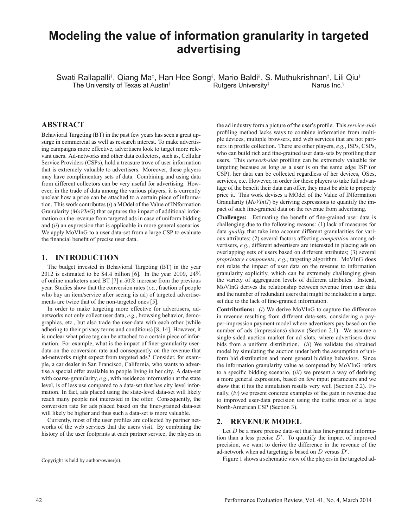# **Modeling the value of information granularity in targeted advertising**

Swati Rallapalli<sup>†</sup>, Qiang Ma‡, Han Hee Song§, Mario Baldi§, S. Muthukrishnan‡, Lili Qiu† The University of Texas at Austin<sup>†</sup> The University<sup>‡</sup> Narus Inc.<sup>§</sup>

# **ABSTRACT**

Behavioral Targeting (BT) in the past few years has seen a great upsurge in commercial as well as research interest. To make advertising campaigns more effective, advertisers look to target more relevant users. Ad-networks and other data collectors, such as, Cellular Service Providers (CSPs), hold a treasure trove of user information that is extremely valuable to advertisers. Moreover, these players may have complimentary sets of data. Combining and using data from different collectors can be very useful for advertising. However, in the trade of data among the various players, it is currently unclear how a price can be attached to a certain piece of information. This work contributes (*i*) a MOdel of the Value of INformation Granularity (*MoVInG*) that captures the impact of additional information on the revenue from targeted ads in case of uniform bidding and (*ii*) an expression that is applicable in more general scenarios. We apply MoVInG to a user data-set from a large CSP to evaluate the financial benefit of precise user data.

# **1. INTRODUCTION**

The budget invested in Behavioral Targeting (BT) in the year 2012 is estimated to be \$4.4 billion [6]. In the year 2009,  $24\%$ of online marketers used BT [7] a 50% increase from the previous year. Studies show that the conversion rates (*i.e.*, fraction of people who buy an item/service after seeing its ad) of targeted advertisements are twice that of the non-targeted ones [5].

In order to make targeting more effective for advertisers, adnetworks not only collect user data, *e.g.*, browsing behavior, demographics, etc., but also trade the user-data with each other (while adhering to their privacy terms and conditions) [8, 14]. However, it is unclear what price tag can be attached to a certain piece of information. For example, what is the impact of finer-granularity userdata on the conversion rate and consequently on the revenue that ad-networks might expect from targeted ads? Consider, for example, a car dealer in San Francisco, California, who wants to advertise a special offer available to people living in her city. A data-set with coarse-granularity, *e.g.*, with residence information at the state level, is of less use compared to a data-set that has city level information. In fact, ads placed using the state-level data-set will likely reach many people not interested in the offer. Consequently, the conversion rate for ads placed based on the finer-grained data-set will likely be higher and thus such a data-set is more valuable.

Currently, most of the user profiles are collected by partner networks of the web services that the users visit. By combining the history of the user footprints at each partner service, the players in

Copyright is held by author/owner(s).

the ad industry form a picture of the user's profile. This*service-side* profiling method lacks ways to combine information from multiple devices, multiple browsers, and web services that are not partners in profile collection. There are other players, *e.g.*, ISPs, CSPs, who can build rich and fine-grained user data-sets by profiling their users. This *network-side* profiling can be extremely valuable for targeting because as long as a user is on the same edge ISP (or CSP), her data can be collected regardless of her devices, OSes, services, etc. However, in order for these players to take full advantage of the benefit their data can offer, they must be able to properly price it. This work devises a MOdel of the Value of INformation Granularity (*MoVInG*) by deriving expressions to quantify the impact of such fine-grained data on the revenue from advertising.

**Challenges:** Estimating the benefit of fine-grained user data is challenging due to the following reasons: (1) lack of measures for data *quality* that take into account different granularities for various attributes; (2) several factors affecting *competition* among advertisers, *e.g.*, different advertisers are interested in placing ads on overlapping sets of users based on different attributes; (3) several *proprietary components*, *e.g.*, targeting algorithm. MoVInG does not relate the impact of user data on the revenue to information granularity explicitly, which can be extremely challenging given the variety of aggregation levels of different attributes. Instead, MoVInG derives the relationship between revenue from user data and the number of redundant users that might be included in a target set due to the lack of fine-grained information.

**Contributions:** (*i*) We derive MoVInG to capture the difference in revenue resulting from different data-sets, considering a payper-impression payment model where advertisers pay based on the number of ads (impressions) shown (Section 2.1). We assume a single-sided auction market for ad slots, where advertisers draw bids from a uniform distribution. (*ii*) We validate the obtained model by simulating the auction under both the assumption of uniform bid distribution and more general bidding behaviors. Since the information granularity value as computed by MoVInG refers to a specific bidding scenario, (*iii*) we present a way of deriving a more general expression, based on few input parameters and we show that it fits the simulation results very well (Section 2.2). Finally, (*iv*) we present concrete examples of the gain in revenue due to improved user-data precision using the traffic trace of a large North-American CSP (Section 3).

### **2. REVENUE MODEL**

Let  $D$  be a more precise data-set that has finer-grained information than a less precise  $D'$ . To quantify the impact of improved precision, we want to derive the difference in the revenue of the ad-network when ad targeting is based on  $D$  versus  $D'$ .

Figure 1 shows a schematic view of the players in the targeted ad-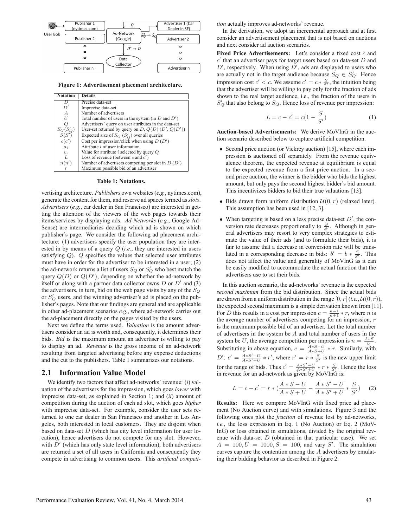

**Figure 1: Advertisement placement architecture.**

| <b>Notation</b>        | <b>Details</b>                                         |
|------------------------|--------------------------------------------------------|
| $\overline{D}$         | Precise data-set                                       |
| D'                     | Imprecise data-set                                     |
| $\overline{A}$         | Number of advertisers                                  |
| U                      | Total number of users in the system (in $D$ and $D'$ ) |
|                        | Advertisers' query on user attributes in the data-set  |
| $S_Q(S'_Q)$<br>$S(S')$ | User-set returned by query on D, $Q(D)$ $(D', Q(D'))$  |
|                        | Expected size of $S_Q$ ( $S_Q'$ ) over all queries     |
| c(c')                  | Cost per impression/click when using $D(D')$           |
| $a_i$                  | Attribute <i>i</i> of user information                 |
| $v_i$                  | Value for attribute $i$ selected by query $Q$          |
| L                      | Loss of revenue (between $c$ and $c'$ )                |
| n(n')                  | Number of advertisers competing per slot in $D(D')$    |
|                        | Maximum possible bid of an advertiser                  |

**Table 1: Notations.**

vertising architecture. *Publishers* own websites (*e.g.*, nytimes.com), generate the content for them, and reserve ad spaces termed as*slots*. *Advertisers* (*e.g.*, car dealer in San Francisco) are interested in getting the attention of the viewers of the web pages towards their items/services by displaying ads. *Ad-Networks* (*e.g.*, Google Ad-Sense) are intermediaries deciding which ad is shown on which publisher's page. We consider the following ad placement architecture: (1) advertisers specify the user population they are interested in by means of a query Q (*i.e.*, they are interested in users satisfying Q). Q specifies the values that selected user attributes must have in order for the advertiser to be interested in a user; (2) the ad-network returns a list of users  $S_Q$  or  $S'_Q$  who best match the query  $Q(D)$  or  $Q(D')$ , depending on whether the ad-network by itself or along with a partner data collector owns  $D$  or  $D'$  and  $(3)$ the advertisers, in turn, bid on the web page visits by any of the  $S_Q$ or  $S'_{\mathcal{Q}}$  users, and the winning advertiser's ad is placed on the publisher's pages. Note that our findings are general and are applicable in other ad-placement scenarios *e.g.*, where ad-network carries out the ad-placement directly on the pages visited by the users.

Next we define the terms used. *Valuation* is the amount advertisers consider an ad is worth and, consequently, it determines their bids. *Bid* is the maximum amount an advertiser is willing to pay to display an ad. *Revenue* is the gross income of an ad-network resulting from targeted advertising before any expense deductions and the cut to the publishers. Table 1 summarizes our notations.

# **2.1 Information Value Model**

We identify two factors that affect ad-networks' revenue: (*i*) valuation of the advertisers for the impression, which goes *lower* with imprecise data-set, as explained in Section 1; and (*ii*) amount of competition during the auction of each ad slot, which goes *higher* with imprecise data-set. For example, consider the user sets returned to one car dealer in San Francisco and another in Los Angeles, both interested in local customers. They are disjoint when based on data-set D (which has city level information for user location), hence advertisers do not compete for any slot. However, with  $\overrightarrow{D}'$  (which has only state level information), both advertisers are returned a set of all users in California and consequently they compete in advertising to common users. This *artificial competi-* *tion* actually improves ad-networks' revenue.

In the derivation, we adopt an incremental approach and at first consider an advertisement placement that is not based on auctions and next consider ad auction scenarios.

Fixed Price Advertisements: Let's consider a fixed cost c and  $c'$  that an advertiser pays for target users based on data-set  $D$  and  $D'$ , respectively. When using  $\overline{D}'$ , ads are displayed to users who are actually not in the target audience because  $S_Q \in S'_Q$ . Hence impression cost  $c' < c$ . We assume  $c' = c * \frac{S}{S'}$ , the intuition being that the advertiser will be willing to pay only for the fraction of ads shown to the real target audience, i.e., the fraction of the users in  $S'_{\mathcal{O}}$  that also belong to  $S_{\mathcal{Q}}$ . Hence loss of revenue per impression:

$$
L = c - c' = c(1 - \frac{S}{S'})
$$
 (1)

**Auction-based Advertisements:** We derive MoVInG in the auction scenario described below to capture artificial competition.

- Second price auction (or Vickrey auction) [15], where each impression is auctioned off separately. From the revenue equivalence theorem, the expected revenue at equilibrium is equal to the expected revenue from a first price auction. In a second price auction, the winner is the bidder who bids the highest amount, but only pays the second highest bidder's bid amount. This incentivizes bidders to bid their true valuations [13].
- Bids drawn form uniform distribution  $\mathcal{U}(0, r)$  (relaxed later). This assumption has been used in [12, 3].
- When targeting is based on a less precise data-set  $D'$ , the conversion rate decreases proportionally to  $\frac{S}{S'}$ . Although in general advertisers may resort to very complex strategies to estimate the value of their ads (and to formulate their bids), it is fair to assume that a decrease in conversion rate will be translated in a corresponding decrease in bids:  $b' = b * \frac{S}{S'}$ . This does not affect the value and generality of MoVInG as it can be easily modified to accommodate the actual function that the advertisers use to set their bids.

In this auction scenario, the ad-networks' revenue is the expected *second maximum* from the bid distribution. Since the actual bids are drawn from a uniform distribution in the range  $[0, r]$  (*i.e.*,  $\mathcal{U}(0, r)$ ), the expected second maximum is a simple derivation known from [11]. For D this results in a cost per impression  $c = \frac{n-1}{n+1} * r$ , where n is the average number of advertisers competing for an impression,  $r$ is the maximum possible bid of an advertiser. Let the total number of advertisers in the system be A and total number of users in the system be U, the average competition per impression is  $n = \frac{A*S}{U}$ . Substituting in above equation,  $c = \frac{A*S-U}{A*S+U} * r$ . Similarly, with  $D'$ :  $c' = \frac{A * S' - U}{A * S' + U} * r'$ , where  $r' = r * \frac{S}{S'}$  is the new upper limit for the range of bids. Thus  $c' = \frac{A*S'-U}{A*S'+U} * r * \frac{S}{S'}$ . Hence the loss in revenue for an ad-network as given by MoVInG is:

$$
L = c - c' = r * (\frac{A * S - U}{A * S + U} - \frac{A * S' - U}{A * S' + U} * \frac{S}{S'})
$$
 (2)

**Results:** Here we compare MoVInG with fixed price ad placement (No Auction curve) and with simulations. Figure 3 and the following ones plot the *fraction* of revenue lost by ad-networks, *i.e.*, the loss expression in Eq. 1 (No Auction) or Eq. 2 (MoV-InG) or loss obtained in simulations, divided by the original revenue with data-set D (obtained in that particular case). We set  $A = 100, U = 1000, S = 100$ , and vary S'. The simulation curves capture the contention among the A advertisers by emulating their bidding behavior as described in Figure 2.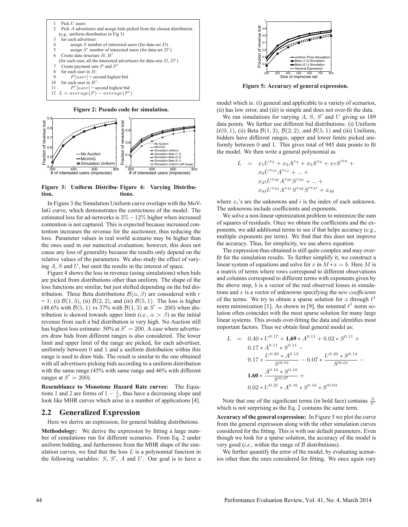

**Figure 2: Pseudo code for simulation.**



#### **Figure 3: Uniform Distribu-Figure 4: Varying Distribution. tions.**

In Figure 3 the Simulation Uniform curve overlaps with the MoV-InG curve, which demonstrates the correctness of the model. The estimated loss for ad-networks is 3%−12% higher when increased contention is not captured. This is expected because increased contention increases the revenue for the auctioneer, thus reducing the loss. Parameter values in real world scenario may be higher than the ones used in our numerical evaluation; however, this does not cause any loss of generality because the results only depend on the relative values of the parameters. We also study the effect of varying  $A$ ,  $S$  and  $U$ , but omit the results in the interest of space.

Figure 4 shows the loss in revenue (using simulations) when bids are picked from distributions other than uniform. The shape of the loss functions are similar, but just shifted depending on the bid distribution. Three Beta distributions  $\mathcal{B}(\alpha, \beta)$  are considered with r = 1: (i)  $\mathcal{B}(1,3)$ , (ii)  $\mathcal{B}(2,2)$ , and (iii)  $\mathcal{B}(5,1)$ . The loss is higher (48.6% with  $\mathcal{B}(5, 1)$  vs 37% with  $\mathcal{B}(1, 3)$  at  $S' = 200$ ) when distribution is skewed towards upper limit (*i.e.*,  $\alpha > \beta$ ) as the initial revenue from such a bid distribution is very high. No Auction still has highest loss estimate: 50% at  $S' = 200$ . A case where advertisers draw bids from different ranges is also considered. The lower limit and upper limit of the range are picked, for each advertiser, uniformly between 0 and 1 and a uniform distribution within this range is used to draw bids. The result is similar to the one obtained with all advertisers picking bids according to a uniform distribution with the same range (45% with same range and 46% with different ranges at  $S' = 200$ ).

**Resemblance to Monotone Hazard Rate curves:** The Equations 1 and 2 are forms of  $1 - \frac{1}{x}$ , thus have a decreasing slope and look like MHR curves which arise in a number of applications [4].

# **2.2 Generalized Expression**

Here we derive an expression, for general bidding distributions.

**Methodology:** We derive the expression by fitting a large number of simulations run for different scenarios. From Eq. 2 under uniform bidding, and furthermore from the MHR shape of the simulation curves, we find that the loss  $L$  is a polynomial function in the following variables:  $S, S', A$  and  $U.$  Our goal is to have a



**Figure 5: Accuracy of general expression.**

model which is: (i) general and applicable to a variety of scenarios, (ii) has low error, and (iii) is simple and does not over-fit the data.

We run simulations for varying  $A$ ,  $S$ ,  $S'$  and  $U$  giving us 189 data points. We further use different bid distributions: (i) Uniform  $U(0, 1)$ , (ii) Beta  $\mathcal{B}(1, 3)$ ,  $\mathcal{B}(2, 2)$ , and  $\mathcal{B}(5, 1)$  and (iii) Uniform, bidders have different ranges, upper and lower limits picked uniformly between 0 and 1. This gives total of 945 data points to fit the model. We then write a general polynomial as

$$
L = x_1 U^{x_2} + x_3 A^{x_4} + x_5 S^{x_6} + x_7 S'^{x_8} + x_9 U^{x_{10}} A^{x_{11}} + \dots + x_{27} U^{x_{28}} A^{x_{29}} S^{x_{30}} + \dots + x_{43} U^{x_{44}} A^{x_{45}} S^{x_{46}} S'^{x_{47}} + x_{48}
$$

where  $x_i$ 's are the unknowns and i is the index of each unknown. The unknowns include coefficients and exponents.

We solve a non-linear optimization problem to minimize the sum of squares of residuals. Once we obtain the coefficients and the exponents, we add additional terms to see if that helps accuracy (*e.g.*, multiple exponents per term). We find that this does not improve the accuracy. Thus, for simplicity, we use above equation.

The expression thus obtained is still quite complex and may overfit for the simulation results. To further simplify it, we construct a linear system of equations and solve for x in  $M * x = b$ . Here M is a matrix of terms where rows correspond to different observations and columns correspond to different terms with exponents given by the above step,  $b$  is a vector of the real observed losses in simulations and x is a vector of unknowns specifying the *new coefficients* of the terms. We try to obtain a sparse solution for x through  $\ell^1$ norm minimization [1]. As shown in [9], the minimal  $\ell^1$  norm solution often coincides with the most sparse solution for many large linear systems. This avoids over-fitting the data and identifies most important factors. Thus we obtain final general model as:

$$
L = 0.40 * U^{0.17} + 1.69 * A^{0.11} + 0.02 * S^{0.11} +
$$
  
\n
$$
0.17 * A^{0.11} * S^{0.11} -
$$
  
\n
$$
0.17 * \frac{U^{0.20} * A^{0.13}}{S'^{0.01}} - 0.07 * \frac{U^{0.20} * S^{0.14}}{S'^{0.01}} -
$$
  
\n
$$
1.60 * \frac{A^{0.10} * S^{0.10}}{S'^{0.07}} +
$$
  
\n
$$
0.02 * U^{0.25} * A^{0.16} * S^{0.16} * S'^{0.04}
$$

Note that one of the significant terms (in bold face) contains  $\frac{S}{S'}$ which is not surprising as the Eq. 2 contains the same term.

**Accuracy of the general expression:** In Figure 5 we plot the curve from the general expression along with the other simulation curves considered for the fitting. This is with our default parameters. Even though we look for a sparse solution, the accuracy of the model is very good (*i.e.*, within the range of B distributions).

We further quantify the error of the model, by evaluating scenarios other than the ones considered for fitting. We once again vary